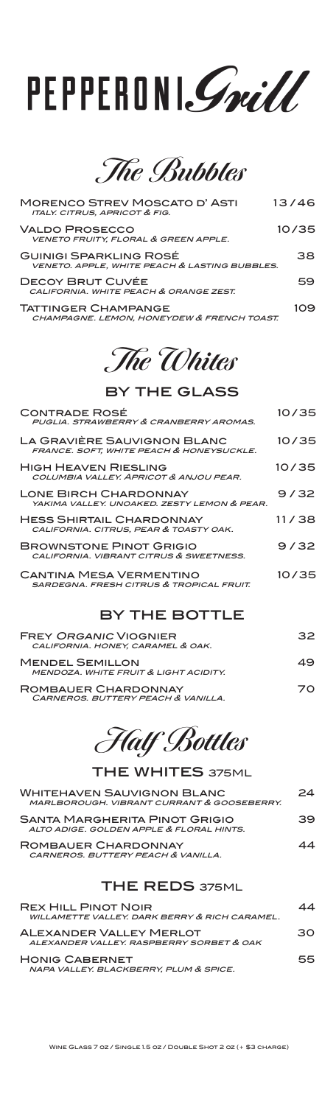# PEPPERONI. Smill

**The Bubbles**

| <b>MORENCO STREV MOSCATO D'ASTI</b><br><b>ITALY. CITRUS, APRICOT &amp; FIG.</b>           | 13/46 |
|-------------------------------------------------------------------------------------------|-------|
| <b>VALDO PROSECCO</b><br>VENETO FRUITY, FLORAL & GREEN APPLE.                             | 10/35 |
| <b>GUINIGI SPARKLING ROSÉ</b><br><b>VENETO. APPLE, WHITE PEACH &amp; LASTING BUBBLES.</b> | 38    |
| DECOY BRUT CUVÉE<br>CALIFORNIA, WHITE PEACH & ORANGE ZEST.                                | 59    |
| <b>TATTINGER CHAMPANGE</b><br>CHAMPAGNE. LEMON. HONEYDEW & FRENCH TOAST.                  | 109   |

### **The Whites**

#### by the glass

| <b>CONTRADE ROSÉ</b><br>PUGLIA, STRAWBERRY & CRANBERRY AROMAS.                        | 10/35 |
|---------------------------------------------------------------------------------------|-------|
| LA GRAVIÈRE SAUVIGNON BLANC<br>FRANCE. SOFT, WHITE PEACH & HONEYSUCKLE.               | 10/35 |
| <b>HIGH HEAVEN RIESLING</b><br>COLUMBIA VALLEY, APRICOT & ANJOU PEAR.                 | 10/35 |
| <b>LONE BIRCH CHARDONNAY</b><br>YAKIMA VALLEY, UNOAKED, ZESTY LEMON & PEAR.           | 9/32  |
| <b>HESS SHIRTAIL CHARDONNAY</b><br>CALIFORNIA. CITRUS, PEAR & TOASTY OAK.             | 11/38 |
| <b>BROWNSTONE PINOT GRIGIO</b><br>CALIFORNIA, VIBRANT CITRUS & SWEETNESS.             | 9/32  |
| <b>CANTINA MESA VERMENTINO</b><br><b>SARDEGNA, FRESH CITRUS &amp; TROPICAL FRUIT.</b> | 10/35 |
|                                                                                       |       |

#### by the bottle

| <b>FREY ORGANIC VIOGNIER</b><br>CALIFORNIA. HONEY, CARAMEL & OAK.          | 32 |
|----------------------------------------------------------------------------|----|
| <b>MENDEL SEMILLON</b><br><b>MENDOZA, WHITE FRUIT &amp; LIGHT ACIDITY.</b> | 49 |
| ROMBAUER CHARDONNAY<br>CARNEROS. BUTTERY PEACH & VANILLA.                  | 70 |

**Half Bottles**

| <b>THE WHITES 375ML</b>                                                         |    |
|---------------------------------------------------------------------------------|----|
| <b>WHITEHAVEN SAUVIGNON BLANC</b><br>MARLBOROUGH, VIBRANT CURRANT & GOOSEBERRY. | 24 |
| SANTA MARGHERITA PINOT GRIGIO<br>ALTO ADIGE GOLDEN APPLE & FLORAL HINTS         | 39 |
| ROMBAUER CHARDONNAY<br>CARNEROS, BUTTERY PEACH & VANILLA.                       | 44 |
| <b>THE REDS 375ML</b>                                                           |    |

| <b>REX HILL PINOT NOIR</b><br>WILLAMETTE VALLEY, DARK BERRY & RICH CARAMEL. | 44  |
|-----------------------------------------------------------------------------|-----|
| <b>ALEXANDER VALLEY MERLOT</b><br>ALEXANDER VALLEY. RASPBERRY SORBET & OAK  | 30. |
| <b>HONIG CABERNET</b><br>NAPA VALLEY. BLACKBERRY, PLUM & SPICE.             | 55. |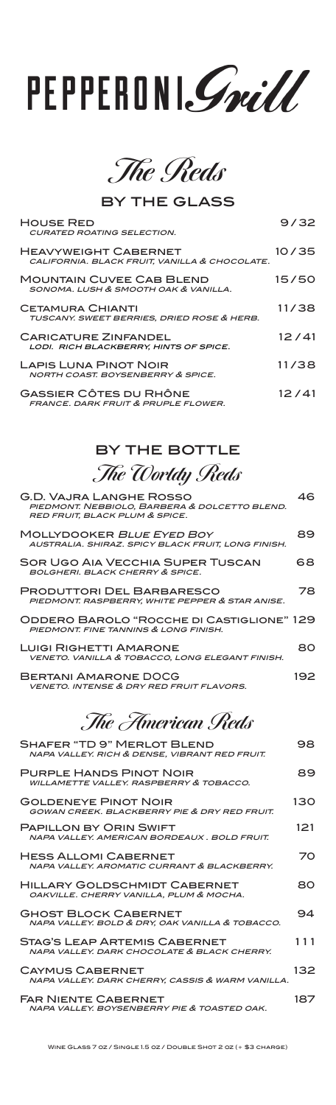# PEPPERONI. Smill

**The Reds**

by the glass

| <b>HOUSE RED</b><br><b>CURATED ROATING SELECTION.</b>                           | 9/32  |
|---------------------------------------------------------------------------------|-------|
| <b>HEAVYWEIGHT CABERNET</b><br>CALIFORNIA. BLACK FRUIT, VANILLA & CHOCOLATE.    | 10/35 |
| <b>MOUNTAIN CUVEE CAB BLEND</b><br>SONOMA, LUSH & SMOOTH OAK & VANILLA.         | 15/50 |
| <b>CETAMURA CHIANTI</b><br>TUSCANY. SWEET BERRIES, DRIED ROSE & HERB.           | 11/38 |
| <b>CARICATURE ZINFANDEL</b><br>LODI. RICH BLACKBERRY, HINTS OF SPICE.           | 12/41 |
| <b>LAPIS LUNA PINOT NOIR</b><br><b>NORTH COAST. BOYSENBERRY &amp; SPICE.</b>    | 11/38 |
| <b>GASSIER CÔTES DU RHÔNE</b><br><b>FRANCE. DARK FRUIT &amp; PRUPLE FLOWER.</b> | 12/41 |

### by the bottle **The Worldy Reds**

| $\sigma$ . The second $\sigma$ corrected by $\sigma$                                                       |     |
|------------------------------------------------------------------------------------------------------------|-----|
| G.D. VAJRA LANGHE ROSSO<br>PIEDMONT. NEBBIOLO, BARBERA & DOLCETTO BLEND.<br>RED FRUIT, BLACK PLUM & SPICE. | 46. |
| MOLLYDOOKER BLUE EYED BOY<br>AUSTRALIA. SHIRAZ. SPICY BLACK FRUIT, LONG FINISH.                            | 89  |
| <b>SOR UGO AIA VECCHIA SUPER TUSCAN</b><br><b>BOLGHERI, BLACK CHERRY &amp; SPICE.</b>                      | 68  |
| <b>PRODUTTORI DEL BARBARESCO</b><br>PIEDMONT. RASPBERRY, WHITE PEPPER & STAR ANISE.                        | 78  |
| ODDERO BAROLO "ROCCHE DI CASTIGLIONE" 129<br>PIEDMONT, FINE TANNINS & LONG FINISH.                         |     |
| <b>LUIGI RIGHETTI AMARONE</b><br><b>VENETO. VANILLA &amp; TOBACCO, LONG ELEGANT FINISH.</b>                | 80  |
| <b>BERTANI AMARONE DOCG</b><br><b>VENETO. INTENSE &amp; DRY RED FRUIT FLAVORS.</b>                         | 192 |

**The American Reds** 

| <b>SHAFER "TD 9" MERLOT BLEND</b><br>NAPA VALLEY. RICH & DENSE, VIBRANT RED FRUIT.   | 98  |
|--------------------------------------------------------------------------------------|-----|
| <b>PURPLE HANDS PINOT NOIR</b><br><b>WILLAMETTE VALLEY, RASPBERRY &amp; TOBACCO.</b> | 89  |
| <b>GOLDENEYE PINOT NOIR</b><br>GOWAN CREEK, BLACKBERRY PIE & DRY RED FRUIT.          | 130 |
| <b>PAPILLON BY ORIN SWIFT</b><br>NAPA VALLEY, AMERICAN BORDEAUX, BOLD FRUIT.         | 121 |
| <b>HESS ALLOMI CABERNET</b><br>NAPA VALLEY, AROMATIC CURRANT & BLACKBERRY.           | 70  |
| <b>HILLARY GOLDSCHMIDT CABERNET</b><br>OAKVILLE. CHERRY VANILLA, PLUM & MOCHA.       | 80  |
| <b>GHOST BLOCK CABERNET</b><br>NAPA VALLEY. BOLD & DRY, OAK VANILLA & TOBACCO.       | 94  |
| STAG'S LEAP ARTEMIS CABERNET<br>NAPA VALLEY, DARK CHOCOLATE & BLACK CHERRY.          | 111 |
| <b>CAYMUS CABERNET</b><br>NAPA VALLEY, DARK CHERRY, CASSIS & WARM VANILLA.           | 132 |
| <b>FAR NIENTE CABERNET</b><br>NAPA VALLEY, BOYSENBERRY PIE & TOASTED OAK.            | 187 |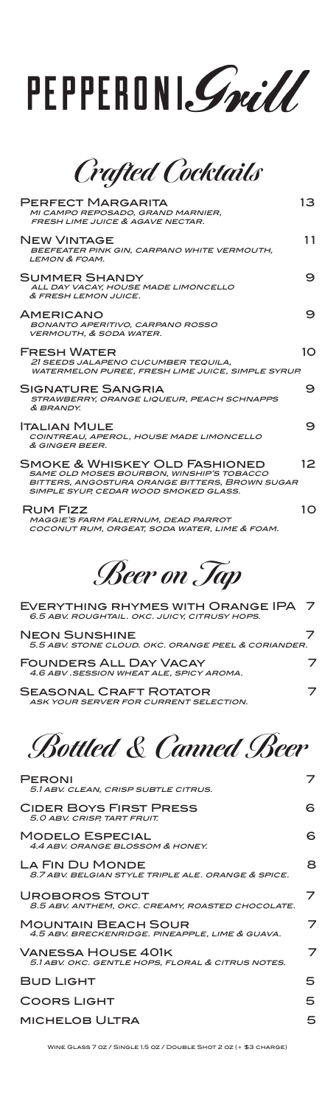## PEPPERONI. Grill

**Crafted Cocktails**

| <b>PERFECT MARGARITA</b><br>MI CAMPO REPOSADO, GRAND MARNIER,<br><b>FRESH LIME JUICE &amp; AGAVE NECTAR.</b>                                                                 | 13              |
|------------------------------------------------------------------------------------------------------------------------------------------------------------------------------|-----------------|
| <b>NEW VINTAGE</b><br>BEEFEATER PINK GIN, CARPANO WHITE VERMOUTH,<br><b>LEMON &amp; FOAM.</b>                                                                                | 11              |
| <b>SUMMER SHANDY</b><br>ALL DAY VACAY, HOUSE MADE LIMONCELLO<br>& FRESH LEMON JUICE.                                                                                         | 9               |
| <b>AMERICANO</b><br><b>BONANTO APERITIVO, CARPANO ROSSO</b><br><b>VERMOUTH, &amp; SODA WATER.</b>                                                                            | 9               |
| <b>FRESH WATER</b><br>21 SEEDS JALAPENO CUCUMBER TEQUILA.<br><b>WATERMELON PUREE. FRESH LIME JUICE. SIMPLE SYRUP.</b>                                                        | 1O              |
| SIGNATURE SANGRIA<br>STRAWBERRY, ORANGE LIQUEUR, PEACH SCHNAPPS<br>& BRANDY.                                                                                                 | 9               |
| <b>ITALIAN MULE</b><br>COINTREAU, APEROL, HOUSE MADE LIMONCELLO<br>& GINGER BEER.                                                                                            | 9               |
| SMOKE & WHISKEY OLD FASHIONED<br><b>SAME OLD MOSES BOURBON, WINSHIP'S TOBACCO</b><br>BITTERS, ANGOSTURA ORANGE BITTERS, BROWN SUGAR<br>SIMPLE SYUP, CEDAR WOOD SMOKED GLASS. | 12 <sup>2</sup> |
| RUM FIZZ<br>MAGGIE'S FARM FALERNUM, DEAD PARROT<br>COCONUT RUM, ORGEAT, SODA WATER, LIME & FOAM.                                                                             | 1O              |

**Beer on Tap**

| EVERYTHING RHYMES WITH ORANGE IPA 7<br>6.5 ABV. ROUGHTAIL. OKC. JUICY, CITRUSY HOPS. |  |
|--------------------------------------------------------------------------------------|--|
| <b>NEON SUNSHINE</b><br>5.5 ABV. STONE CLOUD, OKC. ORANGE PEEL & CORIANDER.          |  |
| <b>FOUNDERS ALL DAY VACAY</b><br>4.6 ABV .SESSION WHEAT ALE, SPICY AROMA.            |  |
| <b>SEASONAL CRAFT ROTATOR</b><br>ASK YOUR SERVER FOR CURRENT SELECTION.              |  |

**Bottled & Canned Beer**

| <b>PERONI</b><br>5.1 ABV. CLEAN. CRISP SUBTLE CITRUS.                         |    |
|-------------------------------------------------------------------------------|----|
| <b>CIDER BOYS FIRST PRESS</b><br>5.0 ABV. CRISP, TART FRUIT.                  | 6. |
| <b>MODELO ESPECIAL</b><br>4.4 ABV, ORANGE BLOSSOM & HONEY.                    | 6  |
| LA FIN DU MONDE<br>8.7 ABV, BELGIAN STYLE TRIPLE ALE, ORANGE & SPICE.         | 8  |
| UROBOROS STOUT<br>8.5 ABV. ANTHEM, OKC. CREAMY, ROASTED CHOCOLATE.            | 7  |
| <b>MOUNTAIN BEACH SOUR</b><br>4.5 ABV. BRECKENRIDGE. PINEAPPLE, LIME & GUAVA. | 7  |
| VANESSA HOUSE 401K<br>5.1 ABV. OKC. GENTLE HOPS, FLORAL & CITRUS NOTES.       | 7  |
| <b>BUD LIGHT</b>                                                              | 5  |
| <b>COORS LIGHT</b>                                                            | 5  |
| <b>MICHELOB ULTRA</b>                                                         | 5  |

Wine Glass 7 oz / Single 1.5 oz / Double Shot 2 oz (+ \$3 charge)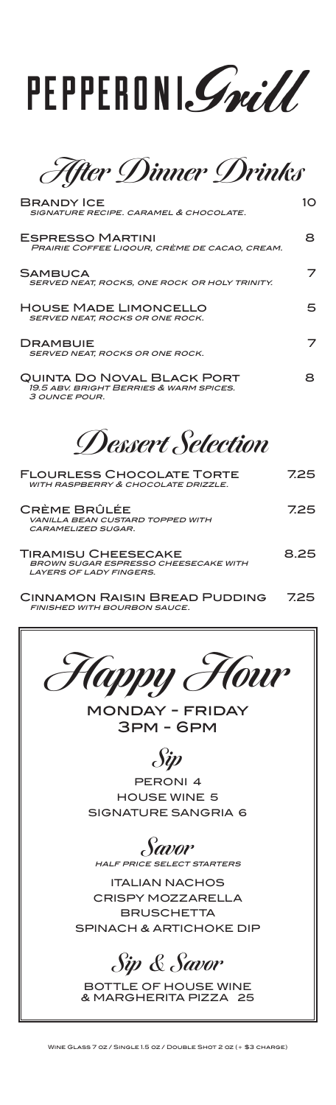

**After Dinner Drinks**

| <b>BRANDY ICE</b><br>SIGNATURE RECIPE, CARAMEL & CHOCOLATE.                                          | 10   |
|------------------------------------------------------------------------------------------------------|------|
| <b>ESPRESSO MARTINI</b><br>PRAIRIE COFFEE LIQOUR. CRÈME DE CACAO. CREAM.                             | 8    |
| <b>SAMBUCA</b><br>SERVED NEAT, ROCKS, ONE ROCK OR HOLY TRINITY.                                      |      |
| <b>HOUSE MADE LIMONCELLO</b><br>SERVED NEAT, ROCKS OR ONE ROCK.                                      | 5    |
| <b>DRAMBUIE</b><br>SERVED NEAT, ROCKS OR ONE ROCK.                                                   |      |
| QUINTA DO NOVAL BLACK PORT<br>19.5 ABV. BRIGHT BERRIES & WARM SPICES.<br><i>3 OUNCE POUR.</i>        | 8.   |
| Dessert Selection                                                                                    |      |
| <b>FLOURLESS CHOCOLATE TORTE</b><br><b>WITH RASPBERRY &amp; CHOCOLATE DRIZZLE.</b>                   | 7.25 |
| CRÈME BRÛLÉE<br><b>VANILLA BEAN CUSTARD TOPPED WITH</b><br><b>CARAMELIZED SUGAR.</b>                 | 725  |
| TIRAMISU CHEESECAKE<br><b>BROWN SUGAR ESPRESSO CHEESECAKE WITH</b><br><b>LAYERS OF LADY FINGERS.</b> | 8.25 |
|                                                                                                      | ラヘニ  |

Cinnamon Raisin Bread Pudding 7.25 finished with bourbon sauce.



monday - friday 3pm - 6pm

**Sip**

PERONI 4 HOUSE WINE 5 SIGNATURE SANGRIA 6

**Savor** half price select starters

ITALIAN NACHOS CRISPY MOZZARELLA **BRUSCHETTA** SPINACH & ARTICHOKE DIP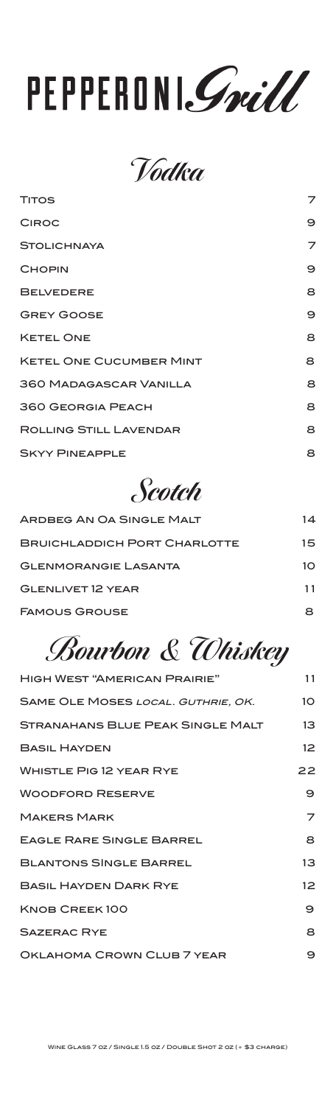# PEPPERONI. Grill

**Vodka** 

| <b>TITOS</b>                   | 7 |
|--------------------------------|---|
| <b>CIROC</b>                   | 9 |
| <b>STOLICHNAYA</b>             | 7 |
| <b>CHOPIN</b>                  | 9 |
| <b>BELVEDERE</b>               | 8 |
| <b>GREY GOOSE</b>              | 9 |
| <b>KETEL ONE</b>               | 8 |
| <b>KETEL ONE CUCUMBER MINT</b> | 8 |
| <b>360 MADAGASCAR VANILLA</b>  | 8 |
| <b>360 GEORGIA PEACH</b>       | 8 |
| <b>ROLLING STILL LAVENDAR</b>  | 8 |
| <b>SKYY PINEAPPLE</b>          | 8 |

### **Scotch**

| ARDBEG AN OA SINGLE MALT            | 14 |
|-------------------------------------|----|
| <b>BRUICHLADDICH PORT CHARLOTTE</b> | 15 |
| <b>GLENMORANGIE LASANTA</b>         | 10 |
| <b>GLENLIVET 12 YEAR</b>            | 11 |
| <b>FAMOUS GROUSE</b>                |    |

## **Bourbon & Whiskey**

| <b>HIGH WEST "AMERICAN PRAIRIE"</b>     | 11              |
|-----------------------------------------|-----------------|
| SAME OLE MOSES LOCAL. GUTHRIE, OK.      | 10              |
| <b>STRANAHANS BLUE PEAK SINGLE MALT</b> | $13 \,$         |
| <b>BASIL HAYDEN</b>                     | 12 <sup>2</sup> |
| <b>WHISTLE PIG 12 YEAR RYE</b>          | 22              |
| <b>WOODFORD RESERVE</b>                 | 9               |
| <b>MAKERS MARK</b>                      | 7               |
| <b>EAGLE RARE SINGLE BARREL</b>         | 8               |
| <b>BLANTONS SINGLE BARREL</b>           | 13              |
| <b>BASIL HAYDEN DARK RYE</b>            | 12 <sup>2</sup> |
| KNOB CREEK100                           | 9               |
| <b>SAZERAC RYE</b>                      | 8               |
| OKLAHOMA CROWN CLUB 7 YEAR              | 9               |